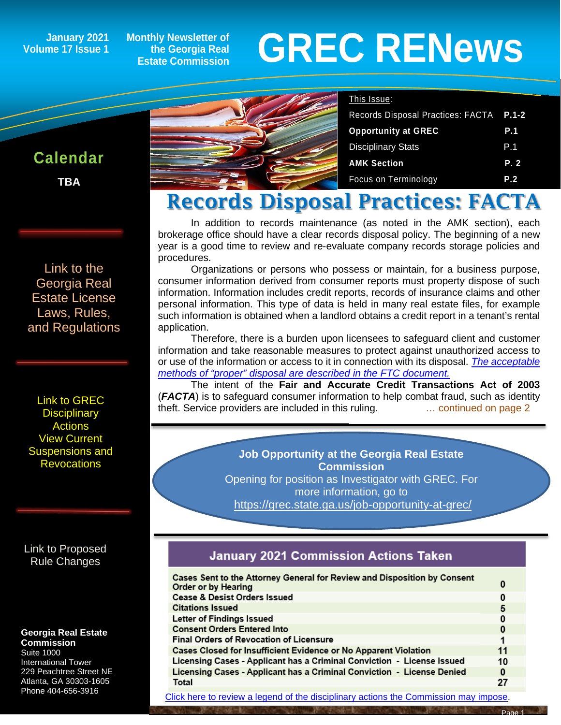**January 2021 Volume 17 Issue 1**

**Monthly Newsletter of the Georgia Real Estate Commission**

# **GREC RENewsGREC RENews**

#### This Issue:

| Records Disposal Practices: FACTA P.1-2 |
|-----------------------------------------|
| <b>P.1</b>                              |
| P.1                                     |
| P.2                                     |
| P.2                                     |
|                                         |

### Records Disposal Practices: FACTA

In addition to records maintenance (as noted in the AMK section), each brokerage office should have a clear records disposal policy. The beginning of a new year is a good time to review and re-evaluate company records storage policies and procedures.

Organizations or persons who possess or maintain, for a business purpose, consumer information derived from consumer reports must property dispose of such information. Information includes credit reports, records of insurance claims and other personal information. This type of data is held in many real estate files, for example such information is obtained when a landlord obtains a credit report in a tenant's rental application.

Therefore, there is a burden upon licensees to safeguard client and customer information and take reasonable measures to protect against unauthorized access to or use of the information or access to it in connection with its disposal. *[The acceptable](https://www.ftc.gov/tips-advice/business-center/guidance/disposing-consumer-report-information-rule-tells-how)  [methods of "proper" disposal are described in the FTC document.](https://www.ftc.gov/tips-advice/business-center/guidance/disposing-consumer-report-information-rule-tells-how)*

The intent of the **Fair and Accurate Credit Transactions Act of 2003**  (*FACTA*) is to safeguard consumer information to help combat fraud, such as identity theft. Service providers are included in this ruling. … continued on page 2

> **Job Opportunity at the Georgia Real Estate Commission** Opening for position as Investigator with GREC. For more information, go to <https://grec.state.ga.us/job-opportunity-at-grec/>

#### **January 2021 Commission Actions Taken**

| Cases Sent to the Attorney General for Review and Disposition by Consent<br>Order or by Hearing | 0  |
|-------------------------------------------------------------------------------------------------|----|
| Cease & Desist Orders Issued                                                                    | 0  |
| <b>Citations Issued</b>                                                                         | 5  |
| Letter of Findings Issued                                                                       | 0  |
| <b>Consent Orders Entered Into</b>                                                              | 0  |
| <b>Final Orders of Revocation of Licensure</b>                                                  |    |
| Cases Closed for Insufficient Evidence or No Apparent Violation                                 | 11 |
| Licensing Cases - Applicant has a Criminal Conviction - License Issued                          | 10 |
| Licensing Cases - Applicant has a Criminal Conviction - License Denied                          | 0  |
| Total                                                                                           | 27 |
|                                                                                                 |    |

[Click here to review a legend of the disciplinary actions the Commission may impose.](https://www.jmre.com/grec/GRECDisciplinaryTools.pdf)

Page 1

# **Calendar**

**TBA**

[Georgia Real](https://grec.state.ga.us/information-research/license-law/)  [Estate License](https://grec.state.ga.us/information-research/license-law/)  [Laws, Rules,](https://grec.state.ga.us/information-research/license-law/)  [and Regulations](https://grec.state.ga.us/information-research/license-law/)

[Link to GREC](http://www.grec.state.ga.us/about/resanctions.html)  **Disciplinary [Actions](http://www.grec.state.ga.us/about/resanctions.html)** View Current [Suspensions and](https://grec.state.ga.us/information-research/disciplinary-actions/real-estate/)  **Revocations** 

[Link to Proposed](https://grec.state.ga.us/information-research/disciplinary-actions/real-estate/)  [Rule Changes](https://grec.state.ga.us/information-research/legislation/real-estate/)

#### **Georgia Real Estate Commission**

Suite 1000 International Tower 229 Peachtree Street NE Atlanta, GA 30303-1605 Phone 404-656-3916

[Link to the](https://grec.state.ga.us/information-research/license-law/) 

ĺ